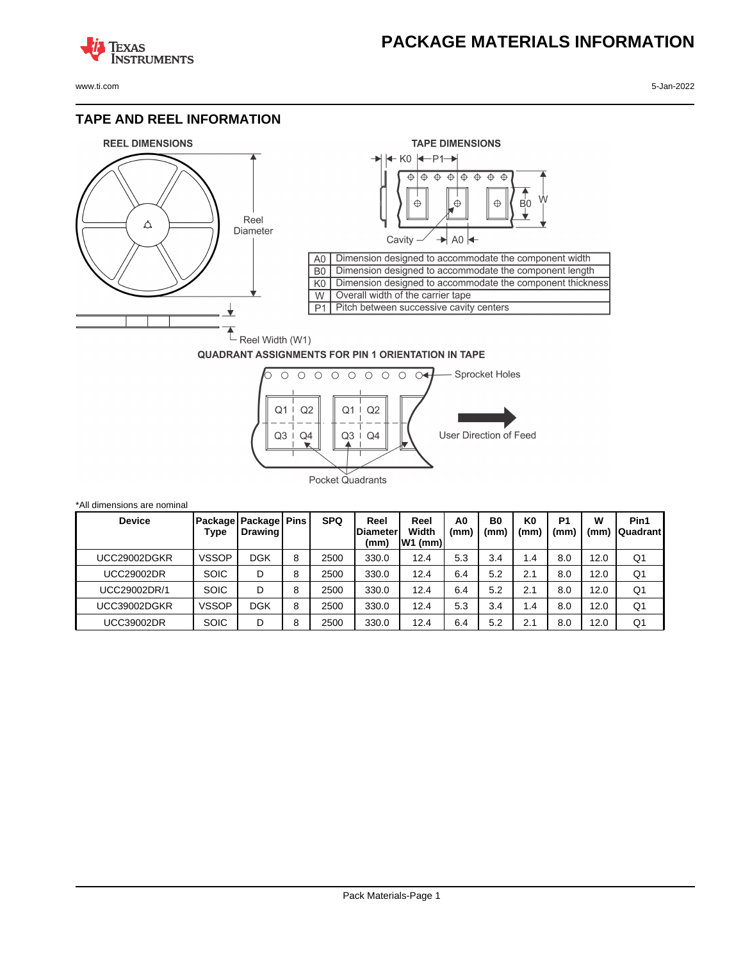## **PACKAGE MATERIALS INFORMATION**

**TEXAS NSTRUMENTS** 

www.ti.com 5-Jan-2022

#### **TAPE AND REEL INFORMATION**





#### **QUADRANT ASSIGNMENTS FOR PIN 1 ORIENTATION IN TAPE**



| *All dimensions are nominal |                 |                           |             |            |                                 |                            |           |            |                       |                        |           |                         |
|-----------------------------|-----------------|---------------------------|-------------|------------|---------------------------------|----------------------------|-----------|------------|-----------------------|------------------------|-----------|-------------------------|
| <b>Device</b>               | Package<br>Type | Package<br><b>Drawing</b> | <b>Pins</b> | <b>SPQ</b> | Reel<br><b>Diameter</b><br>(mm) | Reel<br>Width<br>$W1$ (mm) | A0<br>(mm | B0<br>(mm) | K <sub>0</sub><br>(mm | P <sub>1</sub><br>(mm) | W<br>(mm) | Pin1<br><b>Quadrant</b> |
| UCC29002DGKR                | <b>VSSOP</b>    | DGK                       | 8           | 2500       | 330.0                           | 12.4                       | 5.3       | 3.4        | 1.4                   | 8.0                    | 12.0      | Q1                      |
| <b>UCC29002DR</b>           | <b>SOIC</b>     | D                         | 8           | 2500       | 330.0                           | 12.4                       | 6.4       | 5.2        | 2.1                   | 8.0                    | 12.0      | Q1                      |
| UCC29002DR/1                | <b>SOIC</b>     | D                         | 8           | 2500       | 330.0                           | 12.4                       | 6.4       | 5.2        | 2.1                   | 8.0                    | 12.0      | Q1                      |
| UCC39002DGKR                | <b>VSSOP</b>    | <b>DGK</b>                | 8           | 2500       | 330.0                           | 12.4                       | 5.3       | 3.4        | 1.4                   | 8.0                    | 12.0      | Q <sub>1</sub>          |
| UCC39002DR                  | <b>SOIC</b>     | D                         | 8           | 2500       | 330.0                           | 12.4                       | 6.4       | 5.2        | 2.1                   | 8.0                    | 12.0      | Q1                      |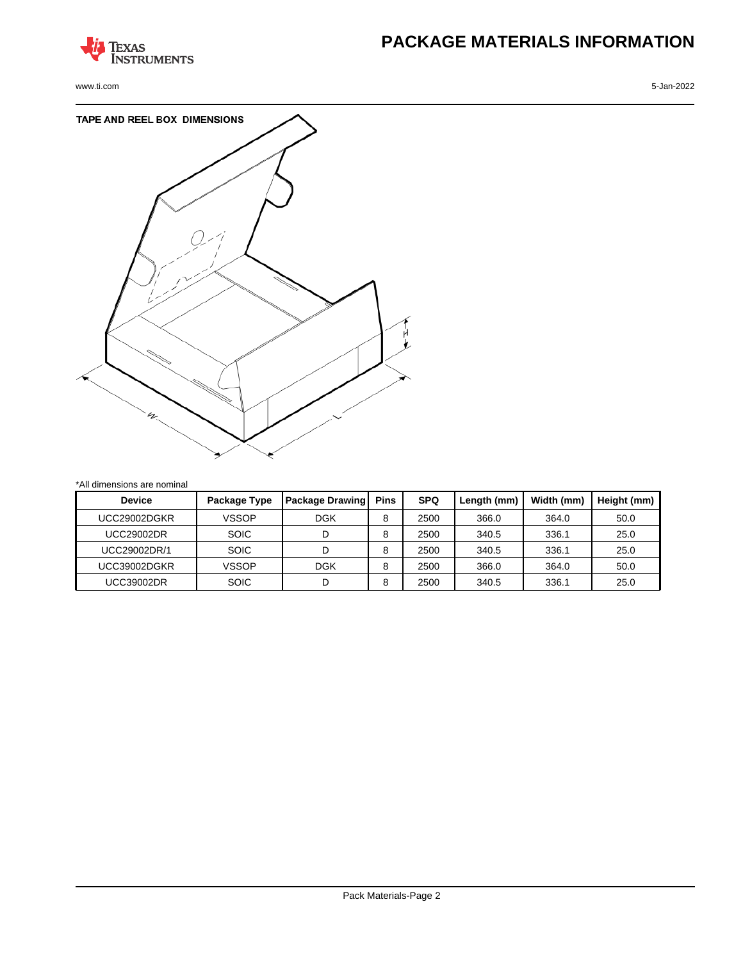

www.ti.com 5-Jan-2022

# **PACKAGE MATERIALS INFORMATION**



\*All dimensions are nominal

| <b>Device</b> | Package Type | <b>Package Drawing</b> | <b>Pins</b> | <b>SPQ</b> | Length (mm) | Width (mm) | Height (mm) |
|---------------|--------------|------------------------|-------------|------------|-------------|------------|-------------|
| UCC29002DGKR  | <b>VSSOP</b> | <b>DGK</b>             | 8           | 2500       | 366.0       | 364.0      | 50.0        |
| UCC29002DR    | <b>SOIC</b>  | D                      | 8           | 2500       | 340.5       | 336.1      | 25.0        |
| UCC29002DR/1  | <b>SOIC</b>  | D                      | 8           | 2500       | 340.5       | 336.1      | 25.0        |
| UCC39002DGKR  | <b>VSSOP</b> | <b>DGK</b>             | 8           | 2500       | 366.0       | 364.0      | 50.0        |
| UCC39002DR    | <b>SOIC</b>  | D                      | 8           | 2500       | 340.5       | 336.1      | 25.0        |